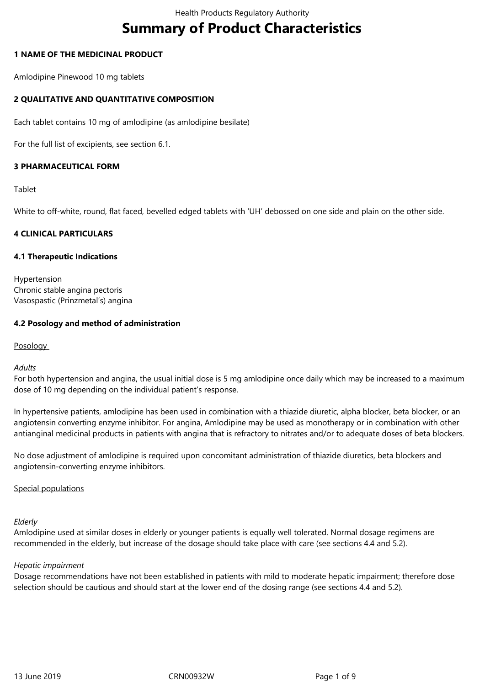# **Summary of Product Characteristics**

## **1 NAME OF THE MEDICINAL PRODUCT**

Amlodipine Pinewood 10 mg tablets

# **2 QUALITATIVE AND QUANTITATIVE COMPOSITION**

Each tablet contains 10 mg of amlodipine (as amlodipine besilate)

For the full list of excipients, see section 6.1.

# **3 PHARMACEUTICAL FORM**

Tablet

White to off-white, round, flat faced, bevelled edged tablets with 'UH' debossed on one side and plain on the other side.

## **4 CLINICAL PARTICULARS**

## **4.1 Therapeutic Indications**

Hypertension Chronic stable angina pectoris Vasospastic (Prinzmetal's) angina

## **4.2 Posology and method of administration**

**Posology** 

#### *Adults*

For both hypertension and angina, the usual initial dose is 5 mg amlodipine once daily which may be increased to a maximum dose of 10 mg depending on the individual patient's response.

In hypertensive patients, amlodipine has been used in combination with a thiazide diuretic, alpha blocker, beta blocker, or an angiotensin converting enzyme inhibitor. For angina, Amlodipine may be used as monotherapy or in combination with other antianginal medicinal products in patients with angina that is refractory to nitrates and/or to adequate doses of beta blockers.

No dose adjustment of amlodipine is required upon concomitant administration of thiazide diuretics, beta blockers and angiotensin-converting enzyme inhibitors.

#### Special populations

#### *Elderly*

Amlodipine used at similar doses in elderly or younger patients is equally well tolerated. Normal dosage regimens are recommended in the elderly, but increase of the dosage should take place with care (see sections 4.4 and 5.2).

#### *Hepatic impairment*

Dosage recommendations have not been established in patients with mild to moderate hepatic impairment; therefore dose selection should be cautious and should start at the lower end of the dosing range (see sections 4.4 and 5.2).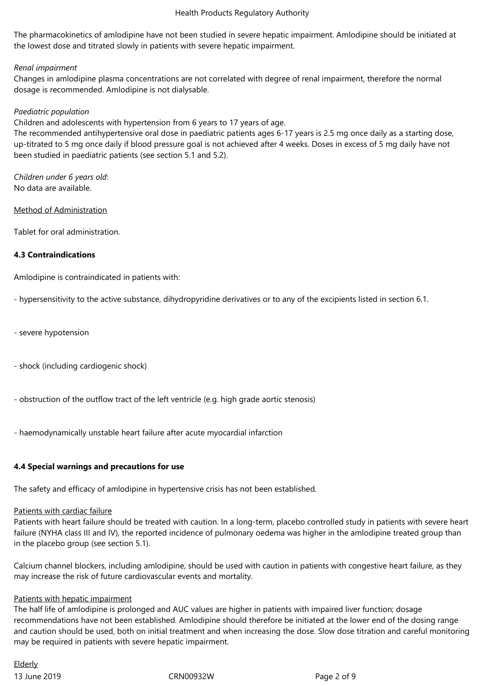The pharmacokinetics of amlodipine have not been studied in severe hepatic impairment. Amlodipine should be initiated at the lowest dose and titrated slowly in patients with severe hepatic impairment.

## *Renal impairment*

Changes in amlodipine plasma concentrations are not correlated with degree of renal impairment, therefore the normal dosage is recommended. Amlodipine is not dialysable.

## *Paediatric population*

Children and adolescents with hypertension from 6 years to 17 years of age.

The recommended antihypertensive oral dose in paediatric patients ages 6-17 years is 2.5 mg once daily as a starting dose, up-titrated to 5 mg once daily if blood pressure goal is not achieved after 4 weeks. Doses in excess of 5 mg daily have not been studied in paediatric patients (see section 5.1 and 5.2).

*Children under 6 years old*: No data are available.

Method of Administration

Tablet for oral administration.

# **4.3 Contraindications**

Amlodipine is contraindicated in patients with:

- hypersensitivity to the active substance, dihydropyridine derivatives or to any of the excipients listed in section 6.1.

- severe hypotension
- shock (including cardiogenic shock)
- obstruction of the outflow tract of the left ventricle (e.g. high grade aortic stenosis)
- haemodynamically unstable heart failure after acute myocardial infarction

# **4.4 Special warnings and precautions for use**

The safety and efficacy of amlodipine in hypertensive crisis has not been established.

#### Patients with cardiac failure

Patients with heart failure should be treated with caution. In a long-term, placebo controlled study in patients with severe heart failure (NYHA class III and IV), the reported incidence of pulmonary oedema was higher in the amlodipine treated group than in the placebo group (see section 5.1).

Calcium channel blockers, including amlodipine, should be used with caution in patients with congestive heart failure, as they may increase the risk of future cardiovascular events and mortality.

#### Patients with hepatic impairment

The half life of amlodipine is prolonged and AUC values are higher in patients with impaired liver function; dosage recommendations have not been established. Amlodipine should therefore be initiated at the lower end of the dosing range and caution should be used, both on initial treatment and when increasing the dose. Slow dose titration and careful monitoring may be required in patients with severe hepatic impairment.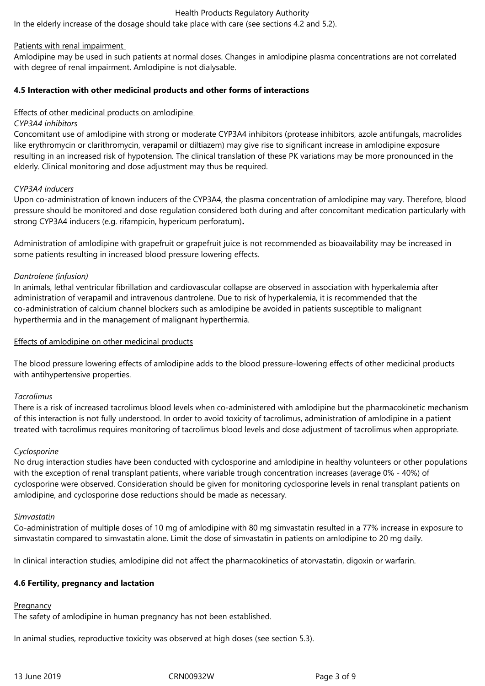In the elderly increase of the dosage should take place with care (see sections 4.2 and 5.2).

## Patients with renal impairment

Amlodipine may be used in such patients at normal doses. Changes in amlodipine plasma concentrations are not correlated with degree of renal impairment. Amlodipine is not dialysable.

# **4.5 Interaction with other medicinal products and other forms of interactions**

# Effects of other medicinal products on amlodipine

## *CYP3A4 inhibitors*

Concomitant use of amlodipine with strong or moderate CYP3A4 inhibitors (protease inhibitors, azole antifungals, macrolides like erythromycin or clarithromycin, verapamil or diltiazem) may give rise to significant increase in amlodipine exposure resulting in an increased risk of hypotension. The clinical translation of these PK variations may be more pronounced in the elderly. Clinical monitoring and dose adjustment may thus be required.

## *CYP3A4 inducers*

Upon co-administration of known inducers of the CYP3A4, the plasma concentration of amlodipine may vary. Therefore, blood pressure should be monitored and dose regulation considered both during and after concomitant medication particularly with strong CYP3A4 inducers (e.g. rifampicin, hypericum perforatum)**.**

Administration of amlodipine with grapefruit or grapefruit juice is not recommended as bioavailability may be increased in some patients resulting in increased blood pressure lowering effects.

## *Dantrolene (infusion)*

In animals, lethal ventricular fibrillation and cardiovascular collapse are observed in association with hyperkalemia after administration of verapamil and intravenous dantrolene. Due to risk of hyperkalemia, it is recommended that the co-administration of calcium channel blockers such as amlodipine be avoided in patients susceptible to malignant hyperthermia and in the management of malignant hyperthermia.

## Effects of amlodipine on other medicinal products

The blood pressure lowering effects of amlodipine adds to the blood pressure-lowering effects of other medicinal products with antihypertensive properties.

#### *Tacrolimus*

There is a risk of increased tacrolimus blood levels when co-administered with amlodipine but the pharmacokinetic mechanism of this interaction is not fully understood. In order to avoid toxicity of tacrolimus, administration of amlodipine in a patient treated with tacrolimus requires monitoring of tacrolimus blood levels and dose adjustment of tacrolimus when appropriate.

#### *Cyclosporine*

No drug interaction studies have been conducted with cyclosporine and amlodipine in healthy volunteers or other populations with the exception of renal transplant patients, where variable trough concentration increases (average 0% - 40%) of cyclosporine were observed. Consideration should be given for monitoring cyclosporine levels in renal transplant patients on amlodipine, and cyclosporine dose reductions should be made as necessary.

#### *Simvastatin*

Co-administration of multiple doses of 10 mg of amlodipine with 80 mg simvastatin resulted in a 77% increase in exposure to simvastatin compared to simvastatin alone. Limit the dose of simvastatin in patients on amlodipine to 20 mg daily.

In clinical interaction studies, amlodipine did not affect the pharmacokinetics of atorvastatin, digoxin or warfarin.

# **4.6 Fertility, pregnancy and lactation**

#### **Pregnancy**

The safety of amlodipine in human pregnancy has not been established.

In animal studies, reproductive toxicity was observed at high doses (see section 5.3).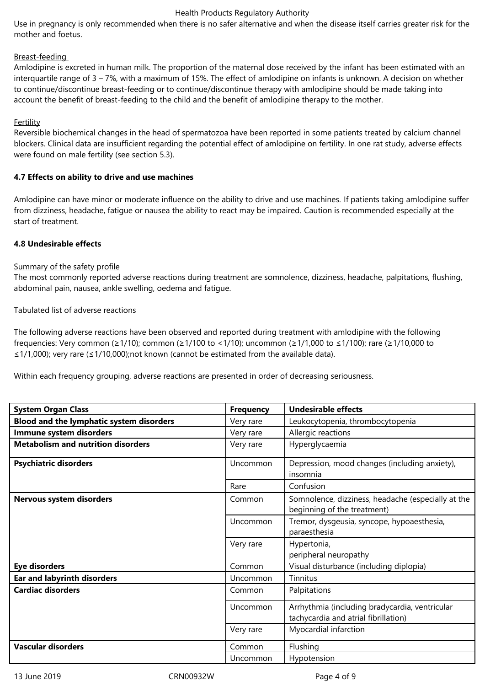Use in pregnancy is only recommended when there is no safer alternative and when the disease itself carries greater risk for the mother and foetus.

## Breast-feeding

Amlodipine is excreted in human milk. The proportion of the maternal dose received by the infant has been estimated with an interquartile range of 3 – 7%, with a maximum of 15%. The effect of amlodipine on infants is unknown. A decision on whether to continue/discontinue breast-feeding or to continue/discontinue therapy with amlodipine should be made taking into account the benefit of breast-feeding to the child and the benefit of amlodipine therapy to the mother.

## Fertility

Reversible biochemical changes in the head of spermatozoa have been reported in some patients treated by calcium channel blockers. Clinical data are insufficient regarding the potential effect of amlodipine on fertility. In one rat study, adverse effects were found on male fertility (see section 5.3).

## **4.7 Effects on ability to drive and use machines**

Amlodipine can have minor or moderate influence on the ability to drive and use machines. If patients taking amlodipine suffer from dizziness, headache, fatigue or nausea the ability to react may be impaired. Caution is recommended especially at the start of treatment.

## **4.8 Undesirable effects**

#### Summary of the safety profile

The most commonly reported adverse reactions during treatment are somnolence, dizziness, headache, palpitations, flushing, abdominal pain, nausea, ankle swelling, oedema and fatigue.

## Tabulated list of adverse reactions

The following adverse reactions have been observed and reported during treatment with amlodipine with the following frequencies: Very common (≥1/10); common (≥1/100 to <1/10); uncommon (≥1/1,000 to ≤1/100); rare (≥1/10,000 to ≤1/1,000); very rare (≤1/10,000);not known (cannot be estimated from the available data).

Within each frequency grouping, adverse reactions are presented in order of decreasing seriousness.

| <b>System Organ Class</b>                 | <b>Frequency</b> | <b>Undesirable effects</b>                                                             |
|-------------------------------------------|------------------|----------------------------------------------------------------------------------------|
| Blood and the lymphatic system disorders  | Very rare        | Leukocytopenia, thrombocytopenia                                                       |
| Immune system disorders                   | Very rare        | Allergic reactions                                                                     |
| <b>Metabolism and nutrition disorders</b> | Very rare        | Hyperglycaemia                                                                         |
| <b>Psychiatric disorders</b>              | Uncommon         | Depression, mood changes (including anxiety),<br>insomnia                              |
|                                           | Rare             | Confusion                                                                              |
| Nervous system disorders                  | Common           | Somnolence, dizziness, headache (especially at the<br>beginning of the treatment)      |
|                                           | Uncommon         | Tremor, dysgeusia, syncope, hypoaesthesia,<br>paraesthesia                             |
|                                           | Very rare        | Hypertonia,<br>peripheral neuropathy                                                   |
| <b>Eye disorders</b>                      | Common           | Visual disturbance (including diplopia)                                                |
| <b>Ear and labyrinth disorders</b>        | Uncommon         | Tinnitus                                                                               |
| <b>Cardiac disorders</b>                  | Common           | Palpitations                                                                           |
|                                           | Uncommon         | Arrhythmia (including bradycardia, ventricular<br>tachycardia and atrial fibrillation) |
|                                           | Very rare        | Myocardial infarction                                                                  |
| <b>Vascular disorders</b>                 | Common           | Flushing                                                                               |
|                                           | Uncommon         | Hypotension                                                                            |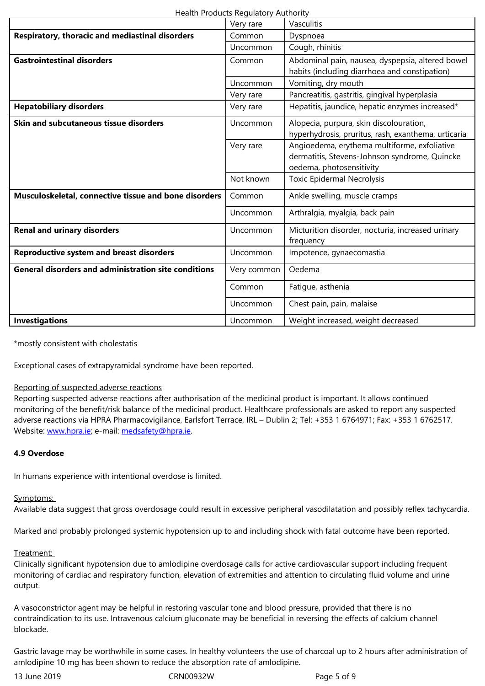|                                                             | Uncommon    | Cough, rhinitis                                                                                                           |  |  |  |
|-------------------------------------------------------------|-------------|---------------------------------------------------------------------------------------------------------------------------|--|--|--|
| <b>Gastrointestinal disorders</b>                           | Common      | Abdominal pain, nausea, dyspepsia, altered bowel<br>habits (including diarrhoea and constipation)                         |  |  |  |
|                                                             | Uncommon    | Vomiting, dry mouth                                                                                                       |  |  |  |
|                                                             | Very rare   | Pancreatitis, gastritis, gingival hyperplasia                                                                             |  |  |  |
| <b>Hepatobiliary disorders</b>                              | Very rare   | Hepatitis, jaundice, hepatic enzymes increased*                                                                           |  |  |  |
| Skin and subcutaneous tissue disorders                      | Uncommon    | Alopecia, purpura, skin discolouration,<br>hyperhydrosis, pruritus, rash, exanthema, urticaria                            |  |  |  |
|                                                             | Very rare   | Angioedema, erythema multiforme, exfoliative<br>dermatitis, Stevens-Johnson syndrome, Quincke<br>oedema, photosensitivity |  |  |  |
|                                                             | Not known   | <b>Toxic Epidermal Necrolysis</b>                                                                                         |  |  |  |
| Musculoskeletal, connective tissue and bone disorders       | Common      | Ankle swelling, muscle cramps                                                                                             |  |  |  |
|                                                             | Uncommon    | Arthralgia, myalgia, back pain                                                                                            |  |  |  |
| <b>Renal and urinary disorders</b>                          | Uncommon    | Micturition disorder, nocturia, increased urinary<br>frequency                                                            |  |  |  |
| <b>Reproductive system and breast disorders</b>             | Uncommon    | Impotence, gynaecomastia                                                                                                  |  |  |  |
| <b>General disorders and administration site conditions</b> | Very common | Oedema                                                                                                                    |  |  |  |
|                                                             | Common      | Fatigue, asthenia                                                                                                         |  |  |  |
|                                                             | Uncommon    | Chest pain, pain, malaise                                                                                                 |  |  |  |
| <b>Investigations</b>                                       | Uncommon    | Weight increased, weight decreased                                                                                        |  |  |  |

\*mostly consistent with cholestatis

Exceptional cases of extrapyramidal syndrome have been reported.

#### Reporting of suspected adverse reactions

Reporting suspected adverse reactions after authorisation of the medicinal product is important. It allows continued monitoring of the benefit/risk balance of the medicinal product. Healthcare professionals are asked to report any suspected adverse reactions via HPRA Pharmacovigilance, Earlsfort Terrace, IRL – Dublin 2; Tel: +353 1 6764971; Fax: +353 1 6762517. Website: www.hpra.ie; e-mail: medsafety@hpra.ie.

## **4.9 Overdose**

In huma[ns experience](http://www.hpra.ie/) with int[entional overdose is](mailto:medsafety@hpra.ie) limited.

# Symptoms:

Available data suggest that gross overdosage could result in excessive peripheral vasodilatation and possibly reflex tachycardia.

Marked and probably prolonged systemic hypotension up to and including shock with fatal outcome have been reported.

# Treatment:

Clinically significant hypotension due to amlodipine overdosage calls for active cardiovascular support including frequent monitoring of cardiac and respiratory function, elevation of extremities and attention to circulating fluid volume and urine output.

A vasoconstrictor agent may be helpful in restoring vascular tone and blood pressure, provided that there is no contraindication to its use. Intravenous calcium gluconate may be beneficial in reversing the effects of calcium channel blockade.

Gastric lavage may be worthwhile in some cases. In healthy volunteers the use of charcoal up to 2 hours after administration of amlodipine 10 mg has been shown to reduce the absorption rate of amlodipine.

13 June 2019 CRN00932W Page 5 of 9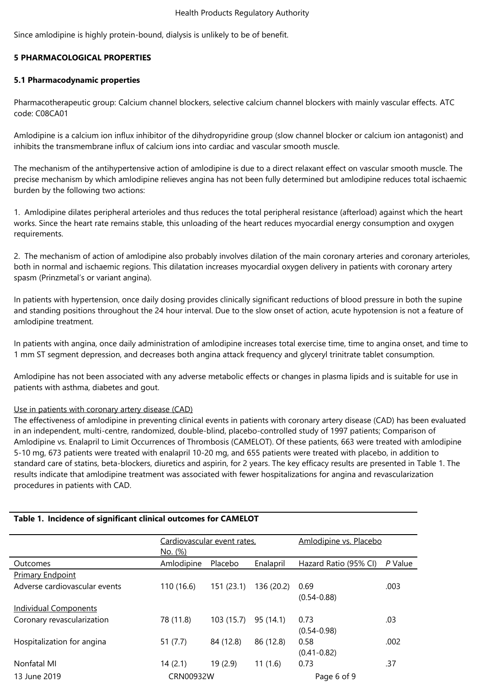Since amlodipine is highly protein-bound, dialysis is unlikely to be of benefit.

# **5 PHARMACOLOGICAL PROPERTIES**

# **5.1 Pharmacodynamic properties**

Pharmacotherapeutic group: Calcium channel blockers, selective calcium channel blockers with mainly vascular effects. ATC code: C08CA01

Amlodipine is a calcium ion influx inhibitor of the dihydropyridine group (slow channel blocker or calcium ion antagonist) and inhibits the transmembrane influx of calcium ions into cardiac and vascular smooth muscle.

The mechanism of the antihypertensive action of amlodipine is due to a direct relaxant effect on vascular smooth muscle. The precise mechanism by which amlodipine relieves angina has not been fully determined but amlodipine reduces total ischaemic burden by the following two actions:

1. Amlodipine dilates peripheral arterioles and thus reduces the total peripheral resistance (afterload) against which the heart works. Since the heart rate remains stable, this unloading of the heart reduces myocardial energy consumption and oxygen requirements.

2. The mechanism of action of amlodipine also probably involves dilation of the main coronary arteries and coronary arterioles, both in normal and ischaemic regions. This dilatation increases myocardial oxygen delivery in patients with coronary artery spasm (Prinzmetal's or variant angina).

In patients with hypertension, once daily dosing provides clinically significant reductions of blood pressure in both the supine and standing positions throughout the 24 hour interval. Due to the slow onset of action, acute hypotension is not a feature of amlodipine treatment.

In patients with angina, once daily administration of amlodipine increases total exercise time, time to angina onset, and time to 1 mm ST segment depression, and decreases both angina attack frequency and glyceryl trinitrate tablet consumption.

Amlodipine has not been associated with any adverse metabolic effects or changes in plasma lipids and is suitable for use in patients with asthma, diabetes and gout.

# Use in patients with coronary artery disease (CAD)

The effectiveness of amlodipine in preventing clinical events in patients with coronary artery disease (CAD) has been evaluated in an independent, multi-centre, randomized, double-blind, placebo-controlled study of 1997 patients; Comparison of Amlodipine vs. Enalapril to Limit Occurrences of Thrombosis (CAMELOT). Of these patients, 663 were treated with amlodipine 5-10 mg, 673 patients were treated with enalapril 10-20 mg, and 655 patients were treated with placebo, in addition to standard care of statins, beta-blockers, diuretics and aspirin, for 2 years. The key efficacy results are presented in Table 1. The results indicate that amlodipine treatment was associated with fewer hospitalizations for angina and revascularization procedures in patients with CAD.

#### **Table 1. Incidence of significant clinical outcomes for CAMELOT**

|                               | Cardiovascular event rates, |            |            | Amlodipine vs. Placebo |         |
|-------------------------------|-----------------------------|------------|------------|------------------------|---------|
|                               | No. (%)                     |            |            |                        |         |
| Outcomes                      | Amlodipine                  | Placebo    | Enalapril  | Hazard Ratio (95% CI)  | P Value |
| <b>Primary Endpoint</b>       |                             |            |            |                        |         |
| Adverse cardiovascular events | 110 (16.6)                  | 151(23.1)  | 136 (20.2) | 0.69                   | .003    |
|                               |                             |            |            | $(0.54 - 0.88)$        |         |
| <b>Individual Components</b>  |                             |            |            |                        |         |
| Coronary revascularization    | 78 (11.8)                   | 103 (15.7) | 95 (14.1)  | 0.73                   | .03     |
|                               |                             |            |            | $(0.54 - 0.98)$        |         |
| Hospitalization for angina    | 51 $(7.7)$                  | 84 (12.8)  | 86 (12.8)  | 0.58                   | .002    |
|                               |                             |            |            | $(0.41 - 0.82)$        |         |
| Nonfatal MI                   | 14(2.1)                     | 19(2.9)    | 11 (1.6)   | 0.73                   | .37     |
| 13 June 2019                  | CRN00932W                   |            |            | Page 6 of 9            |         |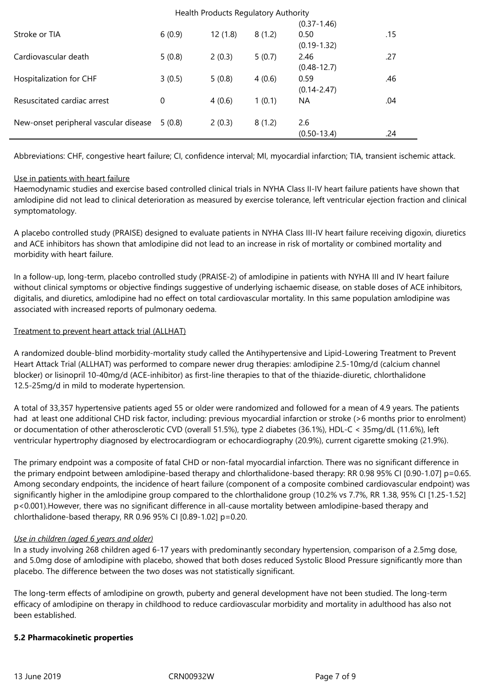|                                       | Health Products Regulatory Authority |         |        |                         |     |  |
|---------------------------------------|--------------------------------------|---------|--------|-------------------------|-----|--|
|                                       |                                      |         |        | $(0.37 - 1.46)$         |     |  |
| Stroke or TIA                         | 6(0.9)                               | 12(1.8) | 8(1.2) | 0.50<br>$(0.19 - 1.32)$ | .15 |  |
| Cardiovascular death                  | 5(0.8)                               | 2(0.3)  | 5(0.7) | 2.46<br>$(0.48 - 12.7)$ | .27 |  |
| Hospitalization for CHF               | 3(0.5)                               | 5(0.8)  | 4(0.6) | 0.59<br>$(0.14 - 2.47)$ | .46 |  |
| Resuscitated cardiac arrest           | 0                                    | 4(0.6)  | 1(0.1) | NA                      | .04 |  |
| New-onset peripheral vascular disease | 5(0.8)                               | 2(0.3)  | 8(1.2) | 2.6<br>$(0.50 - 13.4)$  | .24 |  |

Abbreviations: CHF, congestive heart failure; CI, confidence interval; MI, myocardial infarction; TIA, transient ischemic attack.

## Use in patients with heart failure

Haemodynamic studies and exercise based controlled clinical trials in NYHA Class II-IV heart failure patients have shown that amlodipine did not lead to clinical deterioration as measured by exercise tolerance, left ventricular ejection fraction and clinical symptomatology.

A placebo controlled study (PRAISE) designed to evaluate patients in NYHA Class III-IV heart failure receiving digoxin, diuretics and ACE inhibitors has shown that amlodipine did not lead to an increase in risk of mortality or combined mortality and morbidity with heart failure.

In a follow-up, long-term, placebo controlled study (PRAISE-2) of amlodipine in patients with NYHA III and IV heart failure without clinical symptoms or objective findings suggestive of underlying ischaemic disease, on stable doses of ACE inhibitors, digitalis, and diuretics, amlodipine had no effect on total cardiovascular mortality. In this same population amlodipine was associated with increased reports of pulmonary oedema.

# Treatment to prevent heart attack trial (ALLHAT)

A randomized double-blind morbidity-mortality study called the Antihypertensive and Lipid-Lowering Treatment to Prevent Heart Attack Trial (ALLHAT) was performed to compare newer drug therapies: amlodipine 2.5-10mg/d (calcium channel blocker) or lisinopril 10-40mg/d (ACE-inhibitor) as first-line therapies to that of the thiazide-diuretic, chlorthalidone 12.5-25mg/d in mild to moderate hypertension.

A total of 33,357 hypertensive patients aged 55 or older were randomized and followed for a mean of 4.9 years. The patients had at least one additional CHD risk factor, including: previous myocardial infarction or stroke (>6 months prior to enrolment) or documentation of other atherosclerotic CVD (overall 51.5%), type 2 diabetes (36.1%), HDL-C < 35mg/dL (11.6%), left ventricular hypertrophy diagnosed by electrocardiogram or echocardiography (20.9%), current cigarette smoking (21.9%).

The primary endpoint was a composite of fatal CHD or non-fatal myocardial infarction. There was no significant difference in the primary endpoint between amlodipine-based therapy and chlorthalidone-based therapy: RR 0.98 95% CI [0.90-1.07] p=0.65. Among secondary endpoints, the incidence of heart failure (component of a composite combined cardiovascular endpoint) was significantly higher in the amlodipine group compared to the chlorthalidone group (10.2% vs 7.7%, RR 1.38, 95% CI [1.25-1.52] p<0.001).However, there was no significant difference in all-cause mortality between amlodipine-based therapy and chlorthalidone-based therapy, RR 0.96 95% CI [0.89-1.02] p=0.20.

# *Use in children (aged 6 years and older)*

In a study involving 268 children aged 6-17 years with predominantly secondary hypertension, comparison of a 2.5mg dose, and 5.0mg dose of amlodipine with placebo, showed that both doses reduced Systolic Blood Pressure significantly more than placebo. The difference between the two doses was not statistically significant.

The long-term effects of amlodipine on growth, puberty and general development have not been studied. The long-term efficacy of amlodipine on therapy in childhood to reduce cardiovascular morbidity and mortality in adulthood has also not been established.

# **5.2 Pharmacokinetic properties**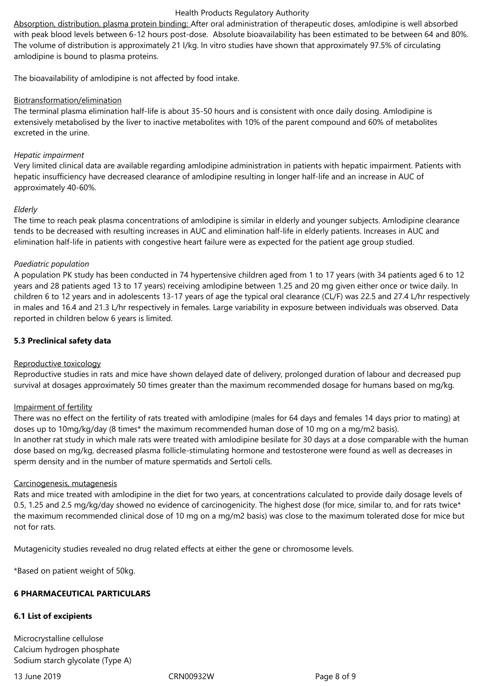Absorption, distribution, plasma protein binding: After oral administration of therapeutic doses, amlodipine is well absorbed with peak blood levels between 6-12 hours post-dose. Absolute bioavailability has been estimated to be between 64 and 80%. The volume of distribution is approximately 21 l/kg. In vitro studies have shown that approximately 97.5% of circulating amlodipine is bound to plasma proteins.

The bioavailability of amlodipine is not affected by food intake.

## Biotransformation/elimination

The terminal plasma elimination half-life is about 35-50 hours and is consistent with once daily dosing. Amlodipine is extensively metabolised by the liver to inactive metabolites with 10% of the parent compound and 60% of metabolites excreted in the urine.

## *Hepatic impairment*

Very limited clinical data are available regarding amlodipine administration in patients with hepatic impairment. Patients with hepatic insufficiency have decreased clearance of amlodipine resulting in longer half-life and an increase in AUC of approximately 40-60%.

#### *Elderly*

The time to reach peak plasma concentrations of amlodipine is similar in elderly and younger subjects. Amlodipine clearance tends to be decreased with resulting increases in AUC and elimination half-life in elderly patients. Increases in AUC and elimination half-life in patients with congestive heart failure were as expected for the patient age group studied.

## *Paediatric population*

A population PK study has been conducted in 74 hypertensive children aged from 1 to 17 years (with 34 patients aged 6 to 12 years and 28 patients aged 13 to 17 years) receiving amlodipine between 1.25 and 20 mg given either once or twice daily. In children 6 to 12 years and in adolescents 13-17 years of age the typical oral clearance (CL/F) was 22.5 and 27.4 L/hr respectively in males and 16.4 and 21.3 L/hr respectively in females. Large variability in exposure between individuals was observed. Data reported in children below 6 years is limited.

# **5.3 Preclinical safety data**

#### Reproductive toxicology

Reproductive studies in rats and mice have shown delayed date of delivery, prolonged duration of labour and decreased pup survival at dosages approximately 50 times greater than the maximum recommended dosage for humans based on mg/kg.

#### Impairment of fertility

There was no effect on the fertility of rats treated with amlodipine (males for 64 days and females 14 days prior to mating) at doses up to 10mg/kg/day (8 times\* the maximum recommended human dose of 10 mg on a mg/m2 basis). In another rat study in which male rats were treated with amlodipine besilate for 30 days at a dose comparable with the human dose based on mg/kg, decreased plasma follicle-stimulating hormone and testosterone were found as well as decreases in sperm density and in the number of mature spermatids and Sertoli cells.

#### Carcinogenesis, mutagenesis

Rats and mice treated with amlodipine in the diet for two years, at concentrations calculated to provide daily dosage levels of 0.5, 1.25 and 2.5 mg/kg/day showed no evidence of carcinogenicity. The highest dose (for mice, similar to, and for rats twice\* the maximum recommended clinical dose of 10 mg on a mg/m2 basis) was close to the maximum tolerated dose for mice but not for rats.

Mutagenicity studies revealed no drug related effects at either the gene or chromosome levels.

\*Based on patient weight of 50kg.

# **6 PHARMACEUTICAL PARTICULARS**

# **6.1 List of excipients**

Microcrystalline cellulose Calcium hydrogen phosphate Sodium starch glycolate (Type A)

13 June 2019 CRN00932W Page 8 of 9